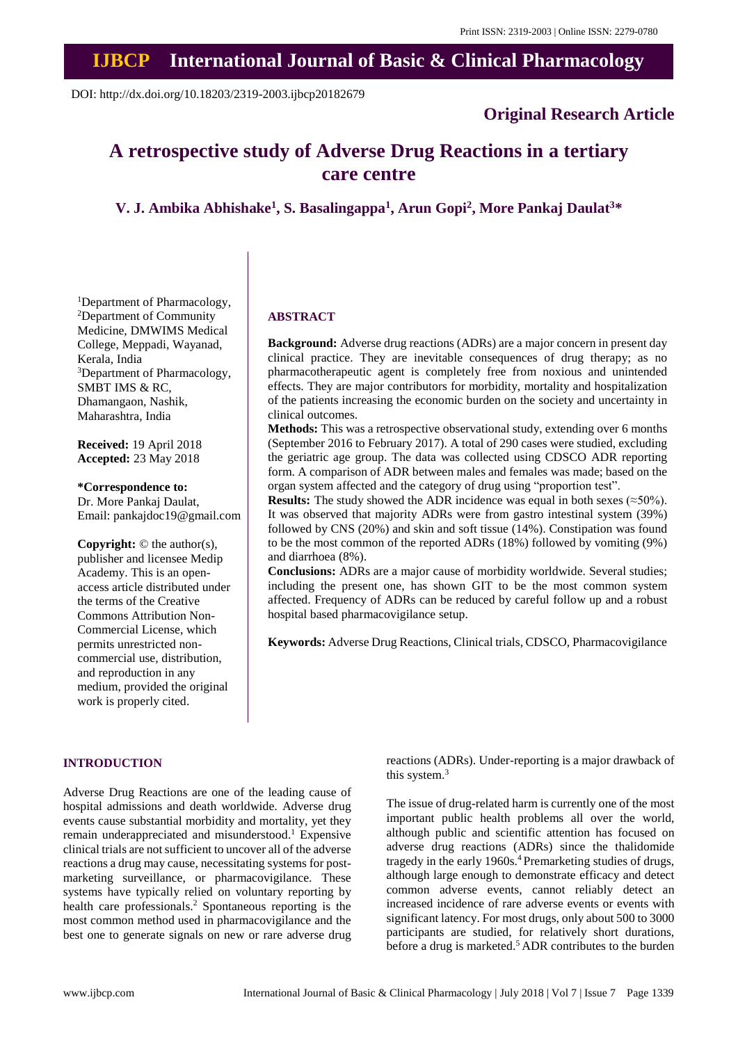# **IJBCP International Journal of Basic & Clinical Pharmacology**

DOI: http://dx.doi.org/10.18203/2319-2003.ijbcp20182679

# **Original Research Article**

# **A retrospective study of Adverse Drug Reactions in a tertiary care centre**

**V. J. Ambika Abhishake<sup>1</sup> , S. Basalingappa<sup>1</sup> , Arun Gopi<sup>2</sup> , More Pankaj Daulat<sup>3</sup>\***

<sup>1</sup>Department of Pharmacology, <sup>2</sup>Department of Community Medicine, DMWIMS Medical College, Meppadi, Wayanad, Kerala, India <sup>3</sup>Department of Pharmacology, SMBT IMS & RC, Dhamangaon, Nashik, Maharashtra, India

**Received:** 19 April 2018 **Accepted:** 23 May 2018

**\*Correspondence to:** Dr. More Pankaj Daulat, Email: pankajdoc19@gmail.com

**Copyright:** © the author(s), publisher and licensee Medip Academy. This is an openaccess article distributed under the terms of the Creative Commons Attribution Non-Commercial License, which permits unrestricted noncommercial use, distribution, and reproduction in any medium, provided the original work is properly cited.

#### **ABSTRACT**

**Background:** Adverse drug reactions (ADRs) are a major concern in present day clinical practice. They are inevitable consequences of drug therapy; as no pharmacotherapeutic agent is completely free from noxious and unintended effects. They are major contributors for morbidity, mortality and hospitalization of the patients increasing the economic burden on the society and uncertainty in clinical outcomes.

**Methods:** This was a retrospective observational study, extending over 6 months (September 2016 to February 2017). A total of 290 cases were studied, excluding the geriatric age group. The data was collected using CDSCO ADR reporting form. A comparison of ADR between males and females was made; based on the organ system affected and the category of drug using "proportion test".

**Results:** The study showed the ADR incidence was equal in both sexes ( $\approx$ 50%). It was observed that majority ADRs were from gastro intestinal system (39%) followed by CNS (20%) and skin and soft tissue (14%). Constipation was found to be the most common of the reported ADRs (18%) followed by vomiting (9%) and diarrhoea (8%).

**Conclusions:** ADRs are a major cause of morbidity worldwide. Several studies; including the present one, has shown GIT to be the most common system affected. Frequency of ADRs can be reduced by careful follow up and a robust hospital based pharmacovigilance setup.

**Keywords:** Adverse Drug Reactions, Clinical trials, CDSCO, Pharmacovigilance

#### **INTRODUCTION**

Adverse Drug Reactions are one of the leading cause of hospital admissions and death worldwide. Adverse drug events cause substantial morbidity and mortality, yet they remain underappreciated and misunderstood. <sup>1</sup> Expensive clinical trials are not sufficient to uncover all of the adverse reactions a drug may cause, necessitating systems for postmarketing surveillance, or pharmacovigilance. These systems have typically relied on voluntary reporting by health care professionals. <sup>2</sup> Spontaneous reporting is the most common method used in pharmacovigilance and the best one to generate signals on new or rare adverse drug reactions (ADRs). Under-reporting is a major drawback of this system. 3

The issue of drug-related harm is currently one of the most important public health problems all over the world, although public and scientific attention has focused on adverse drug reactions (ADRs) since the thalidomide tragedy in the early 1960s. <sup>4</sup> Premarketing studies of drugs, although large enough to demonstrate efficacy and detect common adverse events, cannot reliably detect an increased incidence of rare adverse events or events with significant latency. For most drugs, only about 500 to 3000 participants are studied, for relatively short durations, before a drug is marketed. <sup>5</sup> ADR contributes to the burden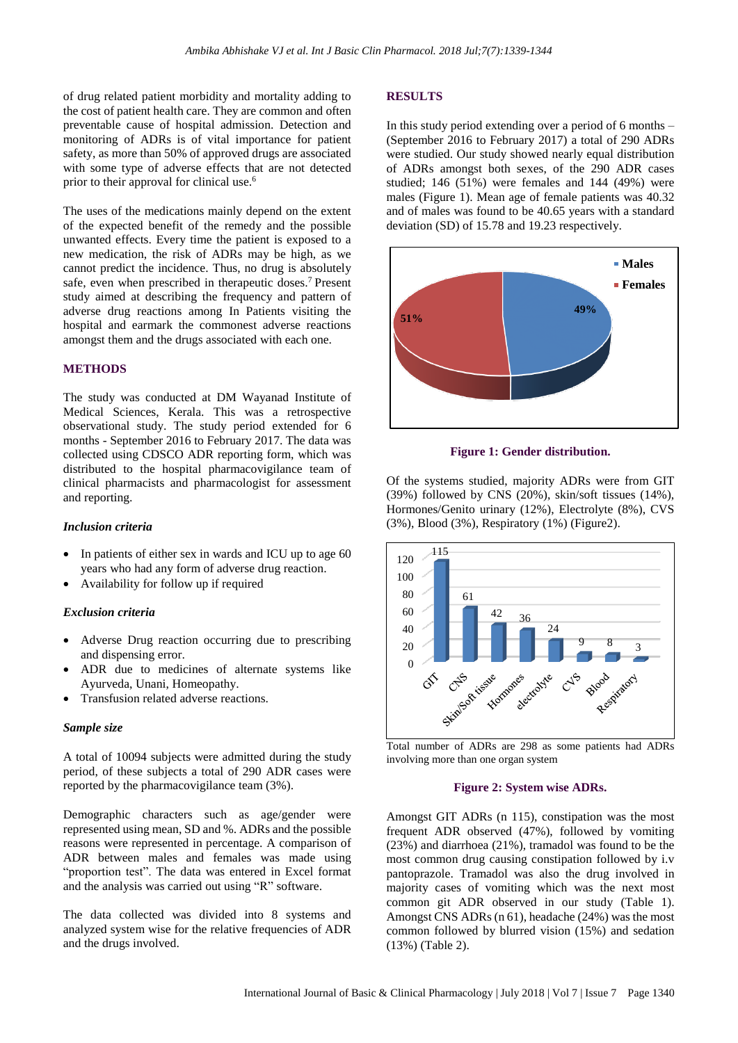of drug related patient morbidity and mortality adding to the cost of patient health care. They are common and often preventable cause of hospital admission. Detection and monitoring of ADRs is of vital importance for patient safety, as more than 50% of approved drugs are associated with some type of adverse effects that are not detected prior to their approval for clinical use. 6

The uses of the medications mainly depend on the extent of the expected benefit of the remedy and the possible unwanted effects. Every time the patient is exposed to a new medication, the risk of ADRs may be high, as we cannot predict the incidence. Thus, no drug is absolutely safe, even when prescribed in therapeutic doses. <sup>7</sup> Present study aimed at describing the frequency and pattern of adverse drug reactions among In Patients visiting the hospital and earmark the commonest adverse reactions amongst them and the drugs associated with each one.

#### **METHODS**

The study was conducted at DM Wayanad Institute of Medical Sciences, Kerala. This was a retrospective observational study. The study period extended for 6 months - September 2016 to February 2017. The data was collected using CDSCO ADR reporting form, which was distributed to the hospital pharmacovigilance team of clinical pharmacists and pharmacologist for assessment and reporting.

#### *Inclusion criteria*

- In patients of either sex in wards and ICU up to age 60 years who had any form of adverse drug reaction.
- Availability for follow up if required

#### *Exclusion criteria*

- Adverse Drug reaction occurring due to prescribing and dispensing error.
- ADR due to medicines of alternate systems like Ayurveda, Unani, Homeopathy.
- Transfusion related adverse reactions.

#### *Sample size*

A total of 10094 subjects were admitted during the study period, of these subjects a total of 290 ADR cases were reported by the pharmacovigilance team (3%).

Demographic characters such as age/gender were represented using mean, SD and %. ADRs and the possible reasons were represented in percentage. A comparison of ADR between males and females was made using "proportion test". The data was entered in Excel format and the analysis was carried out using "R" software.

The data collected was divided into 8 systems and analyzed system wise for the relative frequencies of ADR and the drugs involved.

#### **RESULTS**

In this study period extending over a period of 6 months – (September 2016 to February 2017) a total of 290 ADRs were studied. Our study showed nearly equal distribution of ADRs amongst both sexes, of the 290 ADR cases studied; 146  $(51\%)$  were females and 144  $(49\%)$  were males (Figure 1). Mean age of female patients was 40.32 and of males was found to be 40.65 years with a standard deviation (SD) of 15.78 and 19.23 respectively.



**Figure 1: Gender distribution.**

Of the systems studied, majority ADRs were from GIT (39%) followed by CNS (20%), skin/soft tissues (14%), Hormones/Genito urinary (12%), Electrolyte (8%), CVS (3%), Blood (3%), Respiratory (1%) (Figure2).



Total number of ADRs are 298 as some patients had ADRs involving more than one organ system

#### **Figure 2: System wise ADRs.**

Amongst GIT ADRs (n 115), constipation was the most frequent ADR observed (47%), followed by vomiting (23%) and diarrhoea (21%), tramadol was found to be the most common drug causing constipation followed by i.v pantoprazole. Tramadol was also the drug involved in majority cases of vomiting which was the next most common git ADR observed in our study (Table 1). Amongst CNS ADRs (n 61), headache (24%) was the most common followed by blurred vision (15%) and sedation (13%) (Table 2).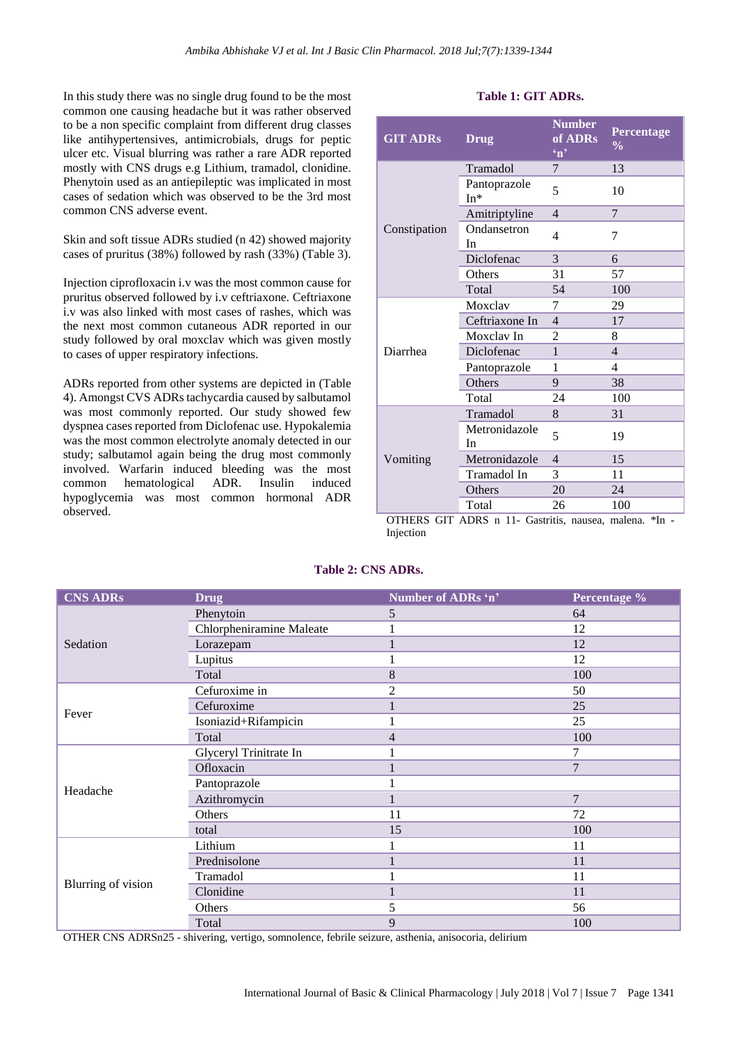In this study there was no single drug found to be the most common one causing headache but it was rather observed to be a non specific complaint from different drug classes like antihypertensives, antimicrobials, drugs for peptic ulcer etc. Visual blurring was rather a rare ADR reported mostly with CNS drugs e.g Lithium, tramadol, clonidine. Phenytoin used as an antiepileptic was implicated in most cases of sedation which was observed to be the 3rd most common CNS adverse event.

Skin and soft tissue ADRs studied (n 42) showed majority cases of pruritus (38%) followed by rash (33%) (Table 3).

Injection ciprofloxacin i.v was the most common cause for pruritus observed followed by i.v ceftriaxone. Ceftriaxone i.v was also linked with most cases of rashes, which was the next most common cutaneous ADR reported in our study followed by oral moxclav which was given mostly to cases of upper respiratory infections.

ADRs reported from other systems are depicted in (Table 4). Amongst CVS ADRs tachycardia caused by salbutamol was most commonly reported. Our study showed few dyspnea cases reported from Diclofenac use. Hypokalemia was the most common electrolyte anomaly detected in our study; salbutamol again being the drug most commonly involved. Warfarin induced bleeding was the most common hematological ADR. Insulin induced hypoglycemia was most common hormonal ADR observed.

# **Table 1: GIT ADRs.**

| <b>GIT ADRs</b>             | <b>Drug</b>                             | <b>Number</b><br>of ADRs<br>$\mathbf{m}$ | Percentage<br>$\frac{0}{0}$ |
|-----------------------------|-----------------------------------------|------------------------------------------|-----------------------------|
|                             | Tramadol                                | 7                                        | 13                          |
|                             | Pantoprazole<br>$In*$                   | 5                                        | 10                          |
|                             | Amitriptyline                           | $\overline{4}$                           | 7                           |
| Constipation                | Ondansetron<br>In                       | 4                                        | 7                           |
|                             | Diclofenac                              | 3                                        | 6                           |
|                             | Others                                  | 31                                       | 57                          |
|                             | Total                                   | 54                                       | 100                         |
|                             | Moxclay                                 | 7                                        | 29                          |
|                             | Ceftriaxone In                          | $\overline{4}$                           | 17                          |
|                             | Moxclav In                              | $\overline{c}$                           | 8                           |
| Diarrhea                    | Diclofenac                              | $\mathbf{1}$                             | $\overline{4}$              |
|                             | Pantoprazole                            | 1                                        | 4                           |
|                             | Others                                  | 9                                        | 38                          |
|                             | Total                                   | 24                                       | 100                         |
|                             | Tramadol                                | 8                                        | 31                          |
| Vomiting                    | Metronidazole<br>In                     | 5                                        | 19                          |
|                             | Metronidazole                           | $\overline{4}$                           | 15                          |
|                             | Tramadol In                             | 3                                        | 11                          |
|                             | Others                                  | 20                                       | 24                          |
| $\alpha$ tiche $\alpha$ ite | Total<br>$\triangle DDC = 11$ $C_{ext}$ | 26<br>بالمد                              | 100<br>÷Τ.<br>- 1 -         |

OTHERS GIT ADRS n 11- Gastritis, nausea, malena. \*In - Injection

# **Table 2: CNS ADRs.**

| <b>CNS ADRs</b>    | <b>Drug</b>              | Number of ADRs 'n' | Percentage %   |
|--------------------|--------------------------|--------------------|----------------|
| Sedation           | Phenytoin                | 5                  | 64             |
|                    | Chlorpheniramine Maleate |                    | 12             |
|                    | Lorazepam                |                    | 12             |
|                    | Lupitus                  | 1                  | 12             |
|                    | Total                    | 8                  | 100            |
|                    | Cefuroxime in            | $\overline{2}$     | 50             |
|                    | Cefuroxime               |                    | 25             |
| Fever              | Isoniazid+Rifampicin     |                    | 25             |
|                    | Total                    | 4                  | 100            |
|                    | Glyceryl Trinitrate In   | 1                  | 7              |
|                    | Ofloxacin                |                    | $\overline{7}$ |
| Headache           | Pantoprazole             |                    |                |
|                    | Azithromycin             |                    | $\overline{7}$ |
|                    | Others                   | 11                 | 72             |
|                    | total                    | 15                 | 100            |
| Blurring of vision | Lithium                  |                    | 11             |
|                    | Prednisolone             |                    | 11             |
|                    | Tramadol                 |                    | 11             |
|                    | Clonidine                |                    | 11             |
|                    | Others                   | 5                  | 56             |
|                    | Total                    | 9                  | 100            |

OTHER CNS ADRSn25 - shivering, vertigo, somnolence, febrile seizure, asthenia, anisocoria, delirium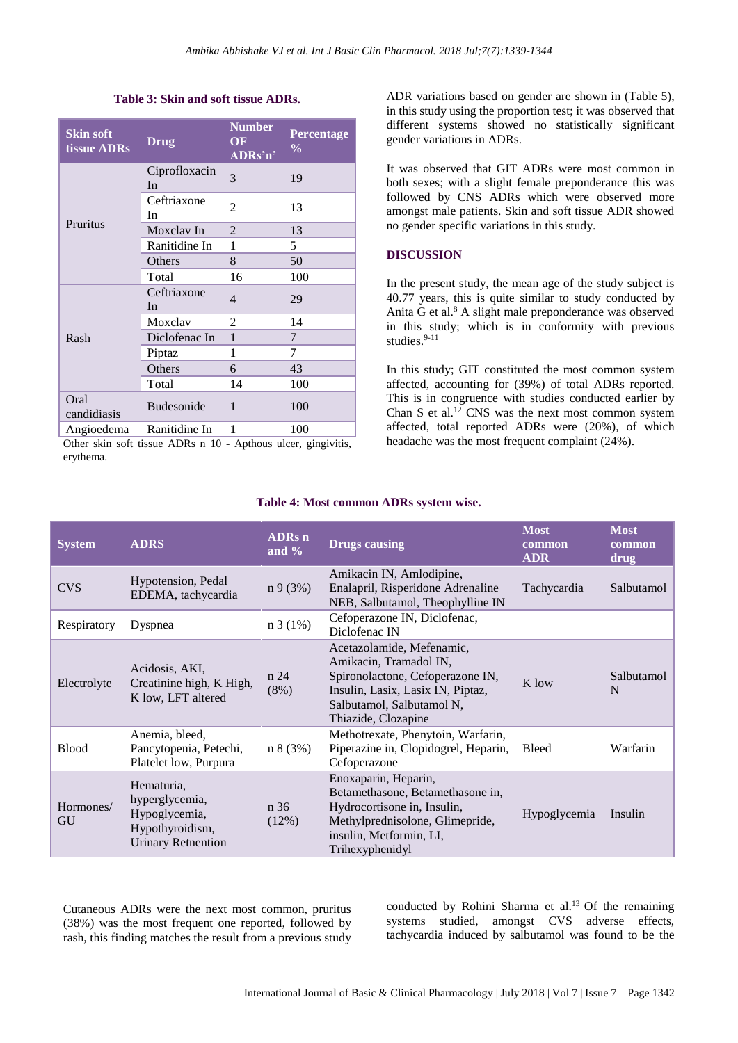#### **Table 3: Skin and soft tissue ADRs.**

| <b>Skin soft</b><br>tissue ADRs | <b>Drug</b>         | <b>Number</b><br>OF<br>ADRs'n' | Percentage<br>$\frac{6}{9}$ |
|---------------------------------|---------------------|--------------------------------|-----------------------------|
|                                 | Ciprofloxacin<br>In | 3                              | 19                          |
| Pruritus                        | Ceftriaxone<br>In   | 2                              | 13                          |
|                                 | Moxclay In          | 2                              | 13                          |
|                                 | Ranitidine In       | 1                              | 5                           |
|                                 | Others              | 8                              | 50                          |
|                                 | Total               | 16                             | 100                         |
|                                 | Ceftriaxone<br>In   | $\overline{4}$                 | 29                          |
|                                 | Moxclav             | 2                              | 14                          |
| Rash                            | Diclofenac In       | $\mathbf{1}$                   | 7                           |
|                                 | Piptaz              | 1                              | 7                           |
|                                 | Others              | 6                              | 43                          |
|                                 | Total               | 14                             | 100                         |
| Oral<br>candidiasis             | <b>Budesonide</b>   | 1                              | 100                         |
| Angioedema                      | Ranitidine In       | 1                              | 100                         |

Other skin soft tissue ADRs n 10 - Apthous ulcer, gingivitis, erythema.

ADR variations based on gender are shown in (Table 5), in this study using the proportion test; it was observed that different systems showed no statistically significant gender variations in ADRs.

It was observed that GIT ADRs were most common in both sexes; with a slight female preponderance this was followed by CNS ADRs which were observed more amongst male patients. Skin and soft tissue ADR showed no gender specific variations in this study.

### **DISCUSSION**

In the present study, the mean age of the study subject is 40.77 years, this is quite similar to study conducted by Anita G et al. <sup>8</sup> A slight male preponderance was observed in this study; which is in conformity with previous studies. $9-11$ 

In this study; GIT constituted the most common system affected, accounting for (39%) of total ADRs reported. This is in congruence with studies conducted earlier by Chan S et al. <sup>12</sup> CNS was the next most common system affected, total reported ADRs were (20%), of which headache was the most frequent complaint (24%).

| <b>System</b>   | <b>ADRS</b>                                                                                   | <b>ADRs</b> n<br>and $\%$ | <b>Drugs causing</b>                                                                                                                                                             | <b>Most</b><br>common<br><b>ADR</b> | <b>Most</b><br>common<br>drug |
|-----------------|-----------------------------------------------------------------------------------------------|---------------------------|----------------------------------------------------------------------------------------------------------------------------------------------------------------------------------|-------------------------------------|-------------------------------|
| <b>CVS</b>      | Hypotension, Pedal<br>EDEMA, tachycardia                                                      | n9(3%)                    | Amikacin IN, Amlodipine,<br>Enalapril, Risperidone Adrenaline<br>NEB, Salbutamol, Theophylline IN                                                                                | Tachycardia                         | Salbutamol                    |
| Respiratory     | Dyspnea                                                                                       | n 3(1%)                   | Cefoperazone IN, Diclofenac,<br>Diclofenac IN                                                                                                                                    |                                     |                               |
| Electrolyte     | Acidosis, AKI,<br>Creatinine high, K High,<br>K low, LFT altered                              | n 24<br>$(8\%)$           | Acetazolamide, Mefenamic,<br>Amikacin, Tramadol IN,<br>Spironolactone, Cefoperazone IN,<br>Insulin, Lasix, Lasix IN, Piptaz,<br>Salbutamol, Salbutamol N,<br>Thiazide, Clozapine | K low                               | Salbutamol<br>N               |
| <b>Blood</b>    | Anemia, bleed,<br>Pancytopenia, Petechi,<br>Platelet low, Purpura                             | n 8 (3%)                  | Methotrexate, Phenytoin, Warfarin,<br>Piperazine in, Clopidogrel, Heparin,<br>Cefoperazone                                                                                       | <b>Bleed</b>                        | Warfarin                      |
| Hormones/<br>GU | Hematuria,<br>hyperglycemia,<br>Hypoglycemia,<br>Hypothyroidism,<br><b>Urinary Retnention</b> | n 36<br>(12%)             | Enoxaparin, Heparin,<br>Betamethasone, Betamethasone in,<br>Hydrocortisone in, Insulin,<br>Methylprednisolone, Glimepride,<br>insulin, Metformin, LI,<br>Trihexyphenidyl         | Hypoglycemia                        | Insulin                       |

#### **Table 4: Most common ADRs system wise.**

Cutaneous ADRs were the next most common, pruritus (38%) was the most frequent one reported, followed by rash, this finding matches the result from a previous study

conducted by Rohini Sharma et al. <sup>13</sup> Of the remaining systems studied, amongst CVS adverse effects, tachycardia induced by salbutamol was found to be the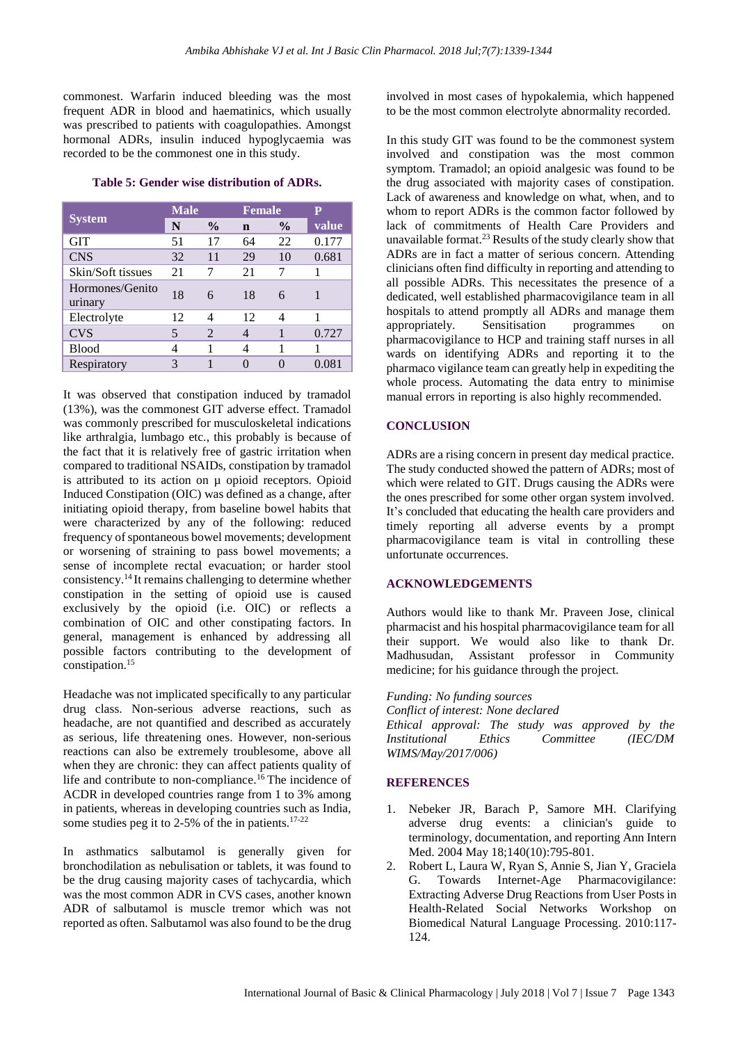commonest. Warfarin induced bleeding was the most frequent ADR in blood and haematinics, which usually was prescribed to patients with coagulopathies. Amongst hormonal ADRs, insulin induced hypoglycaemia was recorded to be the commonest one in this study.

#### **Table 5: Gender wise distribution of ADRs.**

|                            | <b>Male</b> |                | <b>Female</b> |               | P     |
|----------------------------|-------------|----------------|---------------|---------------|-------|
| <b>System</b>              | N           | $\frac{0}{0}$  | $\mathbf n$   | $\frac{6}{9}$ | value |
| <b>GIT</b>                 | 51          | 17             | 64            | 22            | 0.177 |
| <b>CNS</b>                 | 32          | 11             | 29            | 10            | 0.681 |
| Skin/Soft tissues          | 21          |                | 21            | 7             |       |
| Hormones/Genito<br>urinary | 18          | 6              | 18            | 6             |       |
| Electrolyte                | 12          | 4              | 12            | 4             |       |
| <b>CVS</b>                 | 5           | $\mathfrak{D}$ | 4             |               | 0.727 |
| <b>Blood</b>               |             |                | 4             | 1             |       |
| Respiratory                | 3           |                |               |               | 0.081 |

It was observed that constipation induced by tramadol (13%), was the commonest GIT adverse effect. Tramadol was commonly prescribed for musculoskeletal indications like arthralgia, lumbago etc., this probably is because of the fact that it is relatively free of gastric irritation when compared to traditional NSAIDs, constipation by tramadol is attributed to its action on µ opioid receptors. Opioid Induced Constipation (OIC) was defined as a change, after initiating opioid therapy, from baseline bowel habits that were characterized by any of the following: reduced frequency of spontaneous bowel movements; development or worsening of straining to pass bowel movements; a sense of incomplete rectal evacuation; or harder stool consistency. <sup>14</sup> It remains challenging to determine whether constipation in the setting of opioid use is caused exclusively by the opioid (i.e. OIC) or reflects a combination of OIC and other constipating factors. In general, management is enhanced by addressing all possible factors contributing to the development of constipation.<sup>15</sup>

Headache was not implicated specifically to any particular drug class. Non-serious adverse reactions, such as headache, are not quantified and described as accurately as serious, life threatening ones. However, non-serious reactions can also be extremely troublesome, above all when they are chronic: they can affect patients quality of life and contribute to non-compliance. <sup>16</sup> The incidence of ACDR in developed countries range from 1 to 3% among in patients, whereas in developing countries such as India, some studies peg it to 2-5% of the in patients.<sup>1[7-22](https://www.ncbi.nlm.nih.gov/pmc/articles/PMC2784579/#CIT12)</sup>

In asthmatics salbutamol is generally given for bronchodilation as nebulisation or tablets, it was found to be the drug causing majority cases of tachycardia, which was the most common ADR in CVS cases, another known ADR of salbutamol is muscle tremor which was not reported as often. Salbutamol was also found to be the drug involved in most cases of hypokalemia, which happened to be the most common electrolyte abnormality recorded.

In this study GIT was found to be the commonest system involved and constipation was the most common symptom. Tramadol; an opioid analgesic was found to be the drug associated with majority cases of constipation. Lack of awareness and knowledge on what, when, and to whom to report ADRs is the common factor followed by lack of commitments of Health Care Providers and unavailable format. <sup>23</sup> Results of the study clearly show that ADRs are in fact a matter of serious concern. Attending clinicians often find difficulty in reporting and attending to all possible ADRs. This necessitates the presence of a dedicated, well established pharmacovigilance team in all hospitals to attend promptly all ADRs and manage them appropriately. Sensitisation programmes on pharmacovigilance to HCP and training staff nurses in all wards on identifying ADRs and reporting it to the pharmaco vigilance team can greatly help in expediting the whole process. Automating the data entry to minimise manual errors in reporting is also highly recommended.

# **CONCLUSION**

ADRs are a rising concern in present day medical practice. The study conducted showed the pattern of ADRs; most of which were related to GIT. Drugs causing the ADRs were the ones prescribed for some other organ system involved. It's concluded that educating the health care providers and timely reporting all adverse events by a prompt pharmacovigilance team is vital in controlling these unfortunate occurrences.

# **ACKNOWLEDGEMENTS**

Authors would like to thank Mr. Praveen Jose, clinical pharmacist and his hospital pharmacovigilance team for all their support. We would also like to thank Dr. Madhusudan, Assistant professor in Community medicine; for his guidance through the project.

*Funding: No funding sources Conflict of interest: None declared Ethical approval: The study was approved by the Institutional Ethics Committee (IEC/DM WIMS/May/2017/006)*

# **REFERENCES**

- 1. Nebeker JR, Barach P, Samore MH. Clarifying adverse drug events: a clinician's guide to terminology, documentation, and reporting Ann Intern Med. 2004 May 18;140(10):795-801.
- 2. Robert L, Laura W, Ryan S, Annie S, Jian Y, Graciela G. Towards Internet-Age Pharmacovigilance: Extracting Adverse Drug Reactions from User Posts in Health-Related Social Networks Workshop on Biomedical Natural Language Processing. 2010:117- 124.